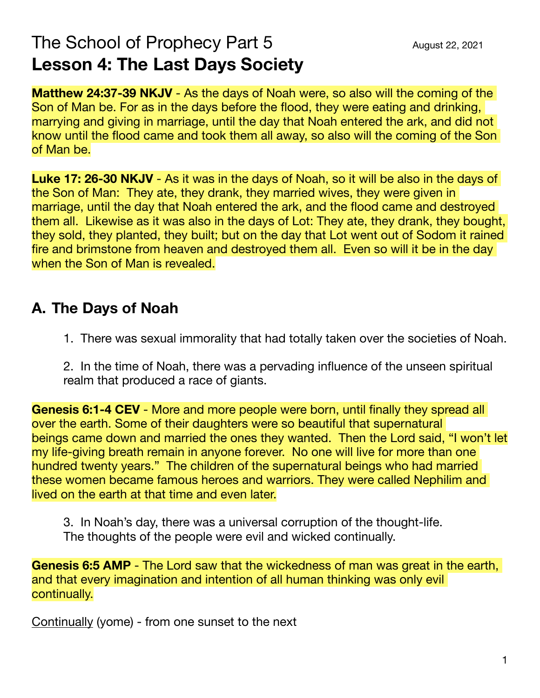# The School of Prophecy Part  $5$   $\qquad \qquad \text{August 22, 2021}$ **Lesson 4: The Last Days Society**

**Matthew 24:37-39 NKJV** - As the days of Noah were, so also will the coming of the Son of Man be. For as in the days before the flood, they were eating and drinking, marrying and giving in marriage, until the day that Noah entered the ark, and did not know until the flood came and took them all away, so also will the coming of the Son of Man be.

**Luke 17: 26-30 NKJV** - As it was in the days of Noah, so it will be also in the days of the Son of Man: They ate, they drank, they married wives, they were given in marriage, until the day that Noah entered the ark, and the flood came and destroyed them all. Likewise as it was also in the days of Lot: They ate, they drank, they bought, they sold, they planted, they built; but on the day that Lot went out of Sodom it rained fire and brimstone from heaven and destroyed them all. Even so will it be in the day when the Son of Man is revealed.

## **A. The Days of Noah**

1. There was sexual immorality that had totally taken over the societies of Noah.

2. In the time of Noah, there was a pervading influence of the unseen spiritual realm that produced a race of giants.

**Genesis 6:1-4 CEV** - More and more people were born, until finally they spread all over the earth. Some of their daughters were so beautiful that supernatural beings came down and married the ones they wanted. Then the Lord said, "I won't let my life-giving breath remain in anyone forever. No one will live for more than one hundred twenty years." The children of the supernatural beings who had married these women became famous heroes and warriors. They were called Nephilim and lived on the earth at that time and even later.

3. In Noah's day, there was a universal corruption of the thought-life. The thoughts of the people were evil and wicked continually.

**Genesis 6:5 AMP** - The Lord saw that the wickedness of man was great in the earth, and that every imagination and intention of all human thinking was only evil continually.

Continually (yome) - from one sunset to the next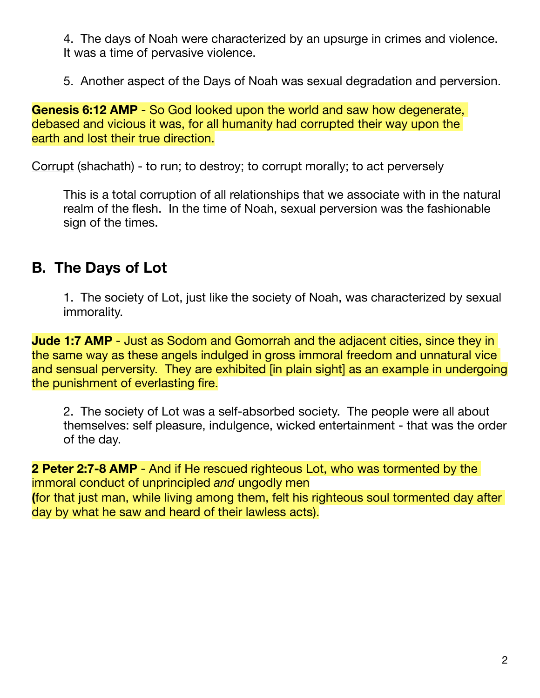4. The days of Noah were characterized by an upsurge in crimes and violence. It was a time of pervasive violence.

5. Another aspect of the Days of Noah was sexual degradation and perversion.

**Genesis 6:12 AMP** - So God looked upon the world and saw how degenerate, debased and vicious it was, for all humanity had corrupted their way upon the earth and lost their true direction.

Corrupt (shachath) - to run; to destroy; to corrupt morally; to act perversely

This is a total corruption of all relationships that we associate with in the natural realm of the flesh. In the time of Noah, sexual perversion was the fashionable sign of the times.

#### **B. The Days of Lot**

1. The society of Lot, just like the society of Noah, was characterized by sexual immorality.

**Jude 1:7 AMP** - Just as Sodom and Gomorrah and the adjacent cities, since they in the same way as these angels indulged in gross immoral freedom and unnatural vice and sensual perversity. They are exhibited [in plain sight] as an example in undergoing the punishment of everlasting fire.

2. The society of Lot was a self-absorbed society. The people were all about themselves: self pleasure, indulgence, wicked entertainment - that was the order of the day.

**2 Peter 2:7-8 AMP** - And if He rescued righteous Lot, who was tormented by the immoral conduct of unprincipled *and* ungodly men **(**for that just man, while living among them, felt his righteous soul tormented day after day by what he saw and heard of their lawless acts).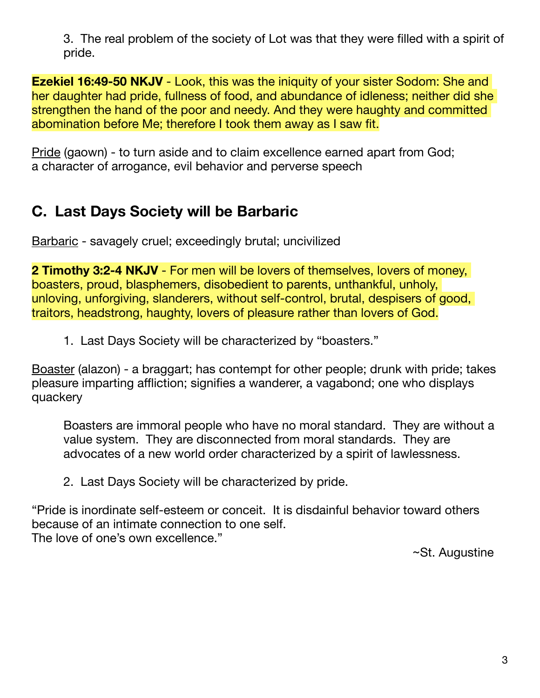3. The real problem of the society of Lot was that they were filled with a spirit of pride.

**Ezekiel 16:49-50 NKJV** - Look, this was the iniquity of your sister Sodom: She and her daughter had pride, fullness of food, and abundance of idleness; neither did she strengthen the hand of the poor and needy. And they were haughty and committed abomination before Me; therefore I took them away as I saw fit.

Pride (gaown) - to turn aside and to claim excellence earned apart from God; a character of arrogance, evil behavior and perverse speech

# **C. Last Days Society will be Barbaric**

Barbaric - savagely cruel; exceedingly brutal; uncivilized

**2 Timothy 3:2-4 NKJV** - For men will be lovers of themselves, lovers of money, boasters, proud, blasphemers, disobedient to parents, unthankful, unholy, unloving, unforgiving, slanderers, without self-control, brutal, despisers of good, traitors, headstrong, haughty, lovers of pleasure rather than lovers of God.

1. Last Days Society will be characterized by "boasters."

Boaster (alazon) - a braggart; has contempt for other people; drunk with pride; takes pleasure imparting affliction; signifies a wanderer, a vagabond; one who displays quackery

Boasters are immoral people who have no moral standard. They are without a value system. They are disconnected from moral standards. They are advocates of a new world order characterized by a spirit of lawlessness.

2. Last Days Society will be characterized by pride.

"Pride is inordinate self-esteem or conceit. It is disdainful behavior toward others because of an intimate connection to one self. The love of one's own excellence." 

 ~St. Augustine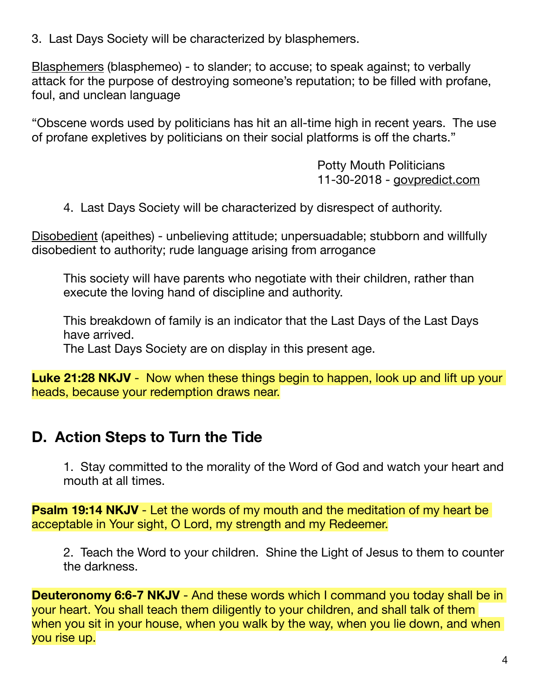3. Last Days Society will be characterized by blasphemers.

Blasphemers (blasphemeo) - to slander; to accuse; to speak against; to verbally attack for the purpose of destroying someone's reputation; to be filled with profane, foul, and unclean language

"Obscene words used by politicians has hit an all-time high in recent years. The use of profane expletives by politicians on their social platforms is off the charts."

> Potty Mouth Politicians 11-30-2018 - [govpredict.com](http://govpredict.com)

4. Last Days Society will be characterized by disrespect of authority.

Disobedient (apeithes) - unbelieving attitude; unpersuadable; stubborn and willfully disobedient to authority; rude language arising from arrogance

This society will have parents who negotiate with their children, rather than execute the loving hand of discipline and authority.

This breakdown of family is an indicator that the Last Days of the Last Days have arrived.

The Last Days Society are on display in this present age.

**Luke 21:28 NKJV** - Now when these things begin to happen, look up and lift up your heads, because your redemption draws near.

### **D. Action Steps to Turn the Tide**

1. Stay committed to the morality of the Word of God and watch your heart and mouth at all times.

**Psalm 19:14 NKJV** - Let the words of my mouth and the meditation of my heart be acceptable in Your sight, O Lord, my strength and my Redeemer.

2. Teach the Word to your children. Shine the Light of Jesus to them to counter the darkness.

**Deuteronomy 6:6-7 NKJV** - And these words which I command you today shall be in your heart. You shall teach them diligently to your children, and shall talk of them when you sit in your house, when you walk by the way, when you lie down, and when you rise up.